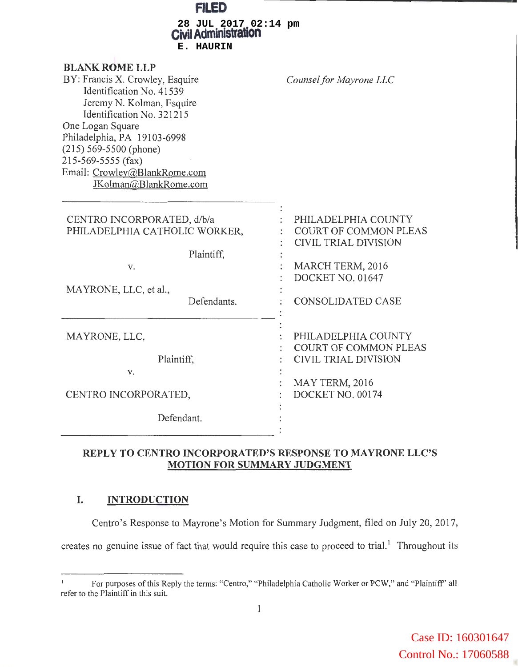| 113 <sup>D</sup>                                                                                                                                                                                                                                                                                             |                                                                                                                                                 |
|--------------------------------------------------------------------------------------------------------------------------------------------------------------------------------------------------------------------------------------------------------------------------------------------------------------|-------------------------------------------------------------------------------------------------------------------------------------------------|
| 28 JUL 2017 02:14 pm<br><b>Civil Administration</b><br>E. HAURIN                                                                                                                                                                                                                                             |                                                                                                                                                 |
| <b>BLANK ROME LLP</b><br>BY: Francis X. Crowley, Esquire<br>Identification No. 41539<br>Jeremy N. Kolman, Esquire<br>Identification No. 321215<br>One Logan Square<br>Philadelphia, PA 19103-6998<br>$(215)$ 569-5500 (phone)<br>215-569-5555 (fax)<br>Email: Crowley@BlankRome.com<br>JKolman@BlankRome.com | Counsel for Mayrone LLC                                                                                                                         |
| CENTRO INCORPORATED, d/b/a<br>PHILADELPHIA CATHOLIC WORKER,<br>Plaintiff,<br>v.<br>MAYRONE, LLC, et al.,<br>Defendants.                                                                                                                                                                                      | PHILADELPHIA COUNTY<br><b>COURT OF COMMON PLEAS</b><br>CIVIL TRIAL DIVISION<br>MARCH TERM, 2016<br>DOCKET NO. 01647<br><b>CONSOLIDATED CASE</b> |
| MAYRONE, LLC,<br>Plaintiff,<br>v.<br>CENTRO INCORPORATED,<br>Defendant.                                                                                                                                                                                                                                      | PHILADELPHIA COUNTY<br><b>COURT OF COMMON PLEAS</b><br>CIVIL TRIAL DIVISION<br>MAY TERM, 2016<br>DOCKET NO. 00174                               |
|                                                                                                                                                                                                                                                                                                              |                                                                                                                                                 |

## **REPLY TO CENTRO INCORPORATED'S RESPONSE TO MAYRONE LLC'S MOTION FOR SUMMARY JUDGMENT**

## **I. INTRODUCTION**

Centro's Response to Mayrone's Motion for Summary Judgment, filed on July 20, 2017,

creates no genuine issue of fact that would require this case to proceed to trial.<sup>1</sup> Throughout its

For purposes of this Reply the terms: "Centro," "Philadelphia Catholic Worker or PCW," and "Plaintiff' all refer to the Plaintiff in this suit.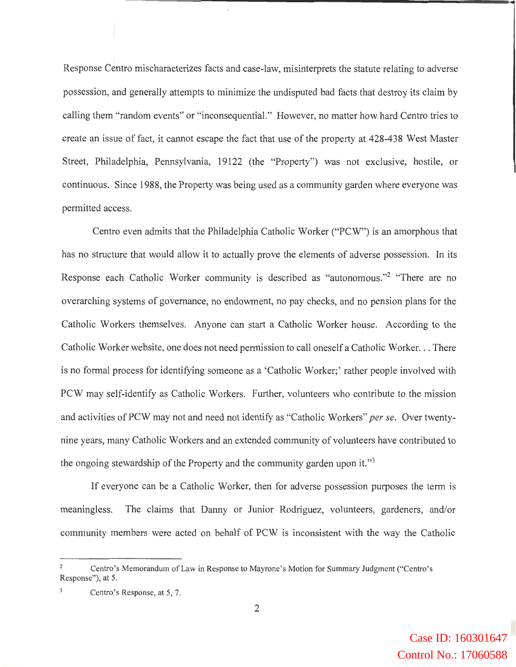Response Centro mischaracterizes facts and case-law, misinterprets the statute relating to adverse possession, and generally attempts to minimize the undisputed bad facts that destroy its claim by calling them "random events" or "inconsequential." However, no matter how hard Centro tries to create an issue of fact, it cannot escape the fact that use of the property at 428-438 West Master Street, Philadelphia, Pennsylvania, 19122 (the "Property") was not exclusive, hostile, or continuous. Since 1988, the Property was being used as a community garden where everyone was permitted access.

Centro even admits that the Philadelphia Catholic Worker ("PCW") is an amorphous that has no structure that would allow it to actually prove the elements of adverse possession. In its Response each Catholic Worker community is described as "autonomous."2 "There are no overarching systems of governance, no endowment, no pay checks, and no pension plans for the Catholic Workers themselves. Anyone can start a Catholic Worker house. According to the Catholic Worker website, one does not need permission to call oneself a Catholic Worker. .. There is no formal process for identifying someone as a 'Catholic Worker;' rather people involved with PCW may self-identify as Catholic Workers. Further, volunteers who contribute to the mission and activities of PCW may not and need not identify as "Catholic Workers" *per se.* Over twentynine years, many Catholic Workers and an extended community of volunteers have contributed to the ongoing stewardship of the Property and the community garden upon it."<sup>3</sup>

If everyone can be a Catholic Worker, then for adverse possession purposes the term is meaningless. The claims that Danny or Junior Rodriguez, volunteers, gardeners, and/or community members were acted on behalf of PCW is inconsistent with the way the Catholic

Centro's Memorandum of Law in Response to Mayrone's Motion for Summary Judgment ("Centro's Response"), at 5.

Centro's Response, at 5, 7.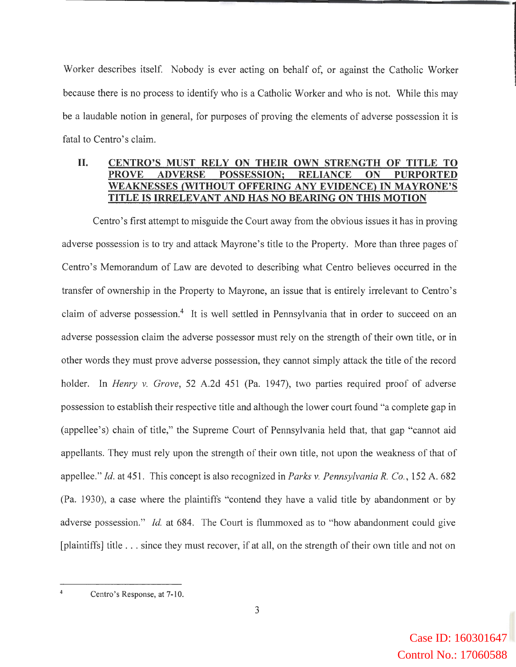Worker describes itself. Nobody is ever acting on behalf of, or against the Catholic Worker because there is no process to identify who is a Catholic Worker and who is not. While this may be a laudable notion in general, for purposes of proving the elements of adverse possession it is fatal to Centro's claim.

## **II. CENTRO'S MUST RELY ON THEIR OWN STRENGTH OF TITLE TO PROVE ADVERSE POSSESSION; RELIANCE ON PURPORTED WEAKNESSES (WITHOUT OFFERING ANY EVIDENCE) IN MAYRONE'S TITLE IS IRRELEVANT AND HAS NO BEARING ON THIS MOTION**

Centro's first attempt to misguide the Court away from the obvious issues it has in proving adverse possession is to try and attack Mayrone's title to the Property. More than three pages of Centro's Memorandum of Law are devoted to describing what Centro believes occurred in the transfer of ownership in the Property to Mayrone, an issue that is entirely irrelevant to Centro's claim of adverse possession.<sup>4</sup> It is well settled in Pennsylvania that in order to succeed on an adverse possession claim the adverse possessor must rely on the strength of their own title, or in other words they must prove adverse possession, they cannot simply attack the title of the record holder. In *Henry v. Grove,* 52 A.2d 451 (Pa. 1947), two parties required proof of adverse possession to establish their respective title and although the lower court found "a complete gap in (appellee's) chain of title," the Supreme Court of Pennsylvania held that, that gap "cannot aid appellants. They must rely upon the strength of their own title, not upon the weakness of that of appellee." *Id.* at 451. This concept is also recognized in *Parks v. Pennsylvania R. Co.,* 152 A. 682 (Pa. 1930), a case where the plaintiffs "contend they have a valid title by abandonment or by adverse possession." *Id.* at 684. The Court is flummoxed as to "how abandonment could give [plaintiffs] title ... since they must recover, if at all, on the strength of their own title and not on

Centro's Response, at 7-10.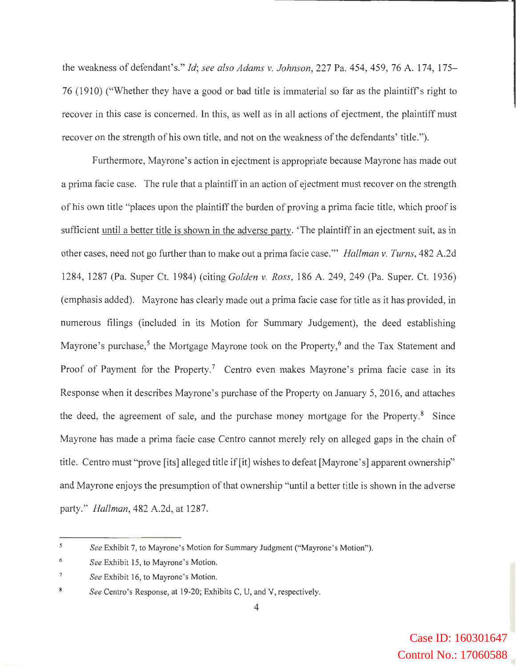the weakness of defendant's." *Id; see also Adams v. Johnson,* 227 Pa. 454, 459, 76 A. 174, 175- 76 (1910) ("Whether they have a good or bad title is immaterial so far as the plaintiffs right to recover in this case is concerned. In this, as well as in all actions of ejectment, the plaintiff must recover on the strength of his own title, and not on the weakness of the defendants' title.").

Furthermore, Mayrone's action in ejectment is appropriate because Mayrone has made out a prima facie case. The rule that a plaintiff in an action of ejectment must recover on the strength of his own title "places upon the plaintiff the burden of proving a prima facie title, which proof is sufficient until a better title is shown in the adverse party. 'The plaintiff in an ejectment suit, as in other cases, need not go further than to make out a prima facie case." *Hallman v. Turns*, 482 A.2d 1284, 1287 (Pa. Super Ct. 1984) (citing *Golden v. Ross,* 186 A. 249, 249 (Pa. Super. Ct. 1936) (emphasis added). Mayrone has clearly made out a prima facie case for title as it has provided, in numerous filings (included in its Motion for Summary Judgement), the deed establishing Mayrone's purchase,<sup>5</sup> the Mortgage Mayrone took on the Property,<sup>6</sup> and the Tax Statement and Proof of Payment for the Property.<sup>7</sup> Centro even makes Mayrone's prima facie case in its Response when it describes Mayrone's purchase of the Property on January 5, 2016, and attaches the deed, the agreement of sale, and the purchase money mortgage for the Property. $8$  Since Mayrone has made a prima facie case Centro cannot merely rely on alleged gaps in the chain of title. Centro must "prove [its] alleged title if [it] wishes to defeat [Mayrone's] apparent ownership" and Mayrone enjoys the presumption of that ownership "until a better title is shown in the adverse party." *Hallman,* 482 A.2d, at 1287.

 $\mathfrak{s}$ *See* Exhibit 7, to Mayrone's Motion for Summary Judgment ("Mayrone's Motion").

<sup>6</sup>  *See* Exhibit 15, to Mayrone's Motion.

 $\boldsymbol{7}$ *See* Exhibit 16, to Mayrone's Motion.

 $\bf 8$ *See* Centro's Response, at 19-20; Exhibits C, U, and V, respectively.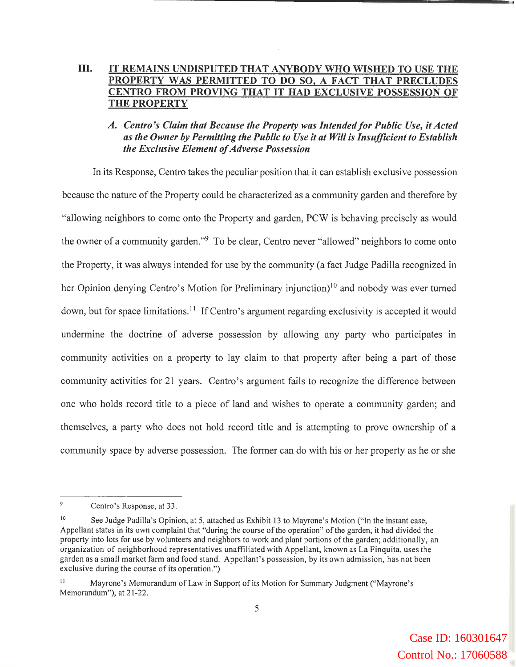## III. IT REMAINS UNDISPUTED THAT ANYBODY WHO WISHED TO USE THE PROPERTY WAS PERMITTED TO DO SO, A FACT THAT PRECLUDES CENTRO FROM PROVING THAT IT HAD EXCLUSIVE POSSESSION OF THE PROPERTY

### *A. Centro's Claim that Because the Property was Intended/or Public Use, it Acted as the Owner by Permitting the Public to Use it at Will* is *Insufficient to Establish the Exclusive Element of Adverse Possession*

In its Response, Centro takes the peculiar position that it can establish exclusive possession because the nature of the Property could be characterized as a community garden and therefore by "allowing neighbors to come onto the Property and garden, PCW is behaving precisely as would the owner of a community garden."<sup>9</sup> To be clear, Centro never "allowed" neighbors to come onto the Property, it was always intended for use by the community (a fact Judge Padilla recognized in her Opinion denying Centro's Motion for Preliminary injunction)<sup>10</sup> and nobody was ever turned down, but for space limitations.<sup>11</sup> If Centro's argument regarding exclusivity is accepted it would undermine the doctrine of adverse possession by allowing any party who participates in community activities on a property to lay claim to that property after being a part of those community activities for 21 years. Centro's argument fails to recognize the difference between one who holds record title to a piece of land and wishes to operate a community garden; and themselves, a party who does not hold record title and is attempting to prove ownership of a community space by adverse possession. The former can do with his or her property as he or she

 $\overline{9}$ Centro 's Response, at 33.

See Judge Padilla's Opinion, at 5, attached as Exhibit 13 to Mayrone's Motion ("In the instant case, Appellant states in its own complaint that "during the course of the operation" of the garden, it had divided the property into lots for use by volunteers and neighbors to work and plant portions of the garden; additionally, an organization of neighborhood representatives unaffiliated with Appellant, known as La Finquita, uses the garden as a small market farm and food stand. Appellant's possession, by its own admission, has not been exclusive during the course of its operation.")

<sup>11</sup> Mayrone 's Memorandum of Law in Support of its Motion for Summary Judgment ("Mayrone's Memorandum"), at 21-22.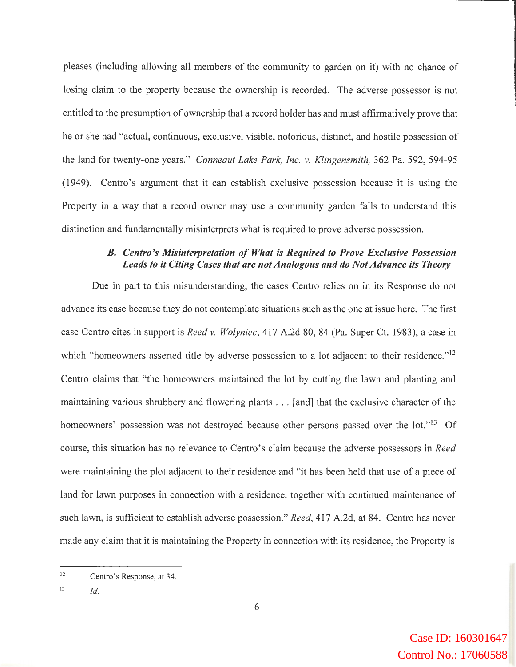pleases (including allowing all members of the community to garden on it) with no chance of losing claim to the property because the ownership is recorded. The adverse possessor is not entitled to the presumption of ownership that a record holder has and must affirmatively prove that he or she had "actual, continuous, exclusive, visible, notorious, distinct, and hostile possession of the land for twenty-one years." *Conneaut Lake Park, Inc. v. Klingensmith,* 362 Pa. 592, 594-95 (1949). Centro's argument that it can establish exclusive possession because it is using the Property in a way that a record owner may use a community garden fails to understand this distinction and fundamentally misinterprets what is required to prove adverse possession.

#### *B. Centro 's Misinterpretation of What is Required to Prove Exclusive Possession Leads to it Citing Cases that are not Analogous and do Not Advance its Theory*

Due in part to this misunderstanding, the cases Centro relies on in its Response do not advance its case because they do not contemplate situations such as the one at issue here. The first case Centro cites in support is *Reed v. Wolyniec,* 417 A.2d 80, 84 (Pa. Super Ct. 1983), a case in which "homeowners asserted title by adverse possession to a lot adjacent to their residence."<sup>12</sup> Centro claims that "the homeowners maintained the lot by cutting the lawn and planting and maintaining various shrubbery and flowering plants ... [and] that the exclusive character of the homeowners' possession was not destroyed because other persons passed over the lot."<sup>13</sup> Of course, this situation has no relevance to Centro' s claim because the adverse possessors in *Reed*  were maintaining the plot adjacent to their residence and "it has been held that use of a piece of land for lawn purposes in connection with a residence, together with continued maintenance of such lawn, is sufficient to establish adverse possession." *Reed,* 417 A.2d, at 84. Centro has never made any claim that it is maintaining the Property in connection with its residence, the Property is

<sup>12</sup>  Centro's Response, at 34.

<sup>13</sup>  *Id.*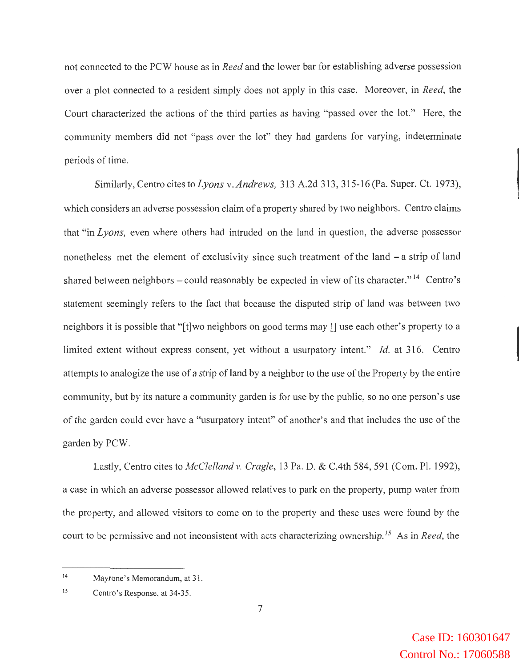not connected to the PCW house as in *Reed* and the lower bar for establishing adverse possession over a plot connected to a resident simply does not apply in this case. Moreover, in *Reed,* the Court characterized the actions of the third parties as having "passed over the lot." Here, the community members did not "pass over the lot" they had gardens for varying, indeterminate periods of time.

Similarly, Centro cites to *Lyons* v. *Andrews,* 313 A.2d 313, 315-16 (Pa. Super. Ct. 1973), which considers an adverse possession claim of a property shared by two neighbors. Centro claims that "in *Lyons,* even where others had intruded on the land in question, the adverse possessor nonetheless met the element of exclusivity since such treatment of the land - a strip of land shared between neighbors  $-\text{could reasonably be expected in view of its character.}$ <sup>14</sup> Centro's statement seemingly refers to the fact that because the disputed strip of land was between two neighbors it is possible that "[t]wo neighbors on good terms may [] use each other's property to a limited extent without express consent, yet without a usurpatory intent." *Id.* at 316. Centro attempts to analogize the use of a strip of land by a neighbor to the use of the Property by the entire community, but by its nature a community garden is for use by the public, so no one person's use of the garden could ever have a "usurpatory intent" of another's and that includes the use of the garden by PCW.

Lastly, Centro cites to *McClelland v. Cragle,* 13 Pa. D. & C.4th 584, 591 (Com. Pl. 1992), a case in which an adverse possessor allowed relatives to park on the property, pump water from the property, and allowed visitors to come on to the property and these uses were found by the court to be permissive and not inconsistent with acts characterizing ownership.<sup>15</sup> As in *Reed*, the

<sup>14</sup>  Mayrone's Memorandum, at 31.

<sup>15</sup>  Centro's Response, at 34-35.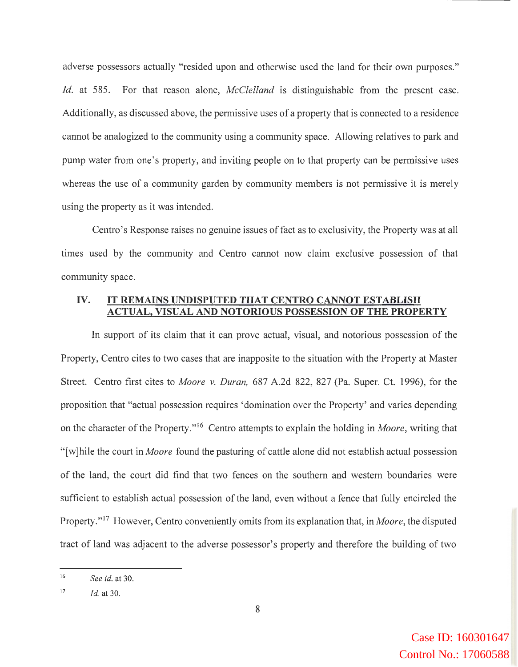adverse possessors actually "resided upon and otherwise used the land for their own purposes." *Id.* at 585. For that reason alone, *McClelland* is distinguishable from the present case. Additionally, as discussed above, the permissive uses of a property that is connected to a residence cannot be analogized to the community using a community space. Allowing relatives to park and pump water from one's property, and inviting people on to that property can be permissive uses whereas the use of a community garden by community members is not permissive it is merely using the property as it was intended.

Centro's Response raises no genuine issues of fact as to exclusivity, the Property was at all times used by the community and Centro cannot now claim exclusive possession of that community space.

#### **IV. IT REMAINS UNDISPUTED THAT CENTRO CANNOT ESTABLISH ACTUAL, VISUAL AND NOTORIOUS POSSESSION OF THE PROPERTY**

In support of its claim that it can prove actual, visual, and notorious possession of the Property, Centro cites to two cases that are inapposite to the situation with the Property at Master Street. Centro first cites to *Moore v. Duran,* 687 A.2d 822, 827 (Pa. Super. Ct. 1996), for the proposition that "actual possession requires 'domination over the Property' and varies depending on the character of the Property." 16 Centro attempts to explain the holding in *Moore,* writing that "[ w ]hile the court in *Moore* found the pasturing of cattle alone did not establish actual possession of the land, the court did find that two fences on the southern and western boundaries were sufficient to establish actual possession of the land, even without a fence that fully encircled the Property."<sup>17</sup> However, Centro conveniently omits from its explanation that, in *Moore*, the disputed tract of land was adjacent to the adverse possessor's property and therefore the building of two

<sup>16</sup>  *See id.* at 30.

<sup>17</sup>  *Id.* at 30.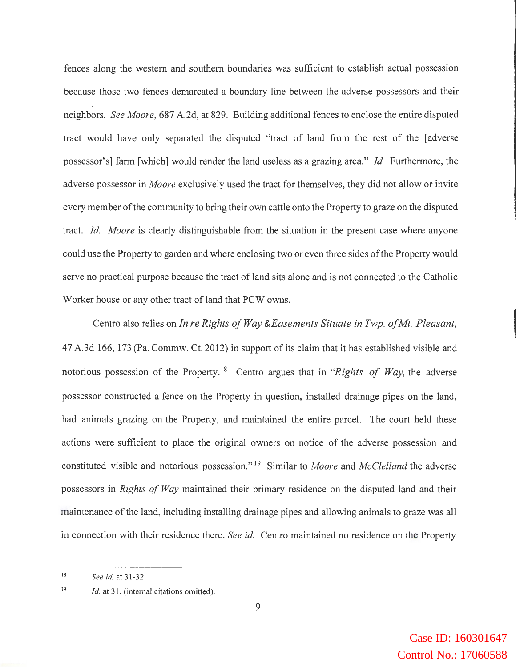fences along the western and southern boundaries was sufficient to establish actual possession because those two fences demarcated a boundary line between the adverse possessors and their neighbors. *See Moore,* 687 A.2d, at 829. Building additional fences to enclose the entire disputed tract would have only separated the disputed "tract of land from the rest of the [adverse possessor's] farm [which] would render the land useless as a grazing area." *Id.* Furthermore, the adverse possessor in *Moore* exclusively used the tract for themselves, they did not allow or invite every member of the community to bring their own cattle onto the Property to graze on the disputed tract. *Id. Moore* is clearly distinguishable from the situation in the present case where anyone could use the Property to garden and where enclosing two or even three sides of the Property would serve no practical purpose because the tract of land sits alone and is not connected to the Catholic Worker house or any other tract of land that PCW owns.

Centro also relies on *In re Rights of Way &Easements Situate in Twp. of Mt. Pleasant,*  4 7 A.3d 166, 173 (Pa. Commw. Ct. 2012) in support of its claim that it has established visible and notorious possession of the Property. 18 Centro argues that in *"Rights of Way,* the adverse possessor constructed a fence on the Property in question, installed drainage pipes on the land, had animals grazing on the Property, and maintained the entire parcel. The court held these actions were sufficient to place the original owners on notice of the adverse possession and constituted visible and notorious possession."<sup>19</sup> Similar to *Moore* and *McClelland* the adverse possessors in *Rights of Way* maintained their primary residence on the disputed land and their maintenance of the land, including installing drainage pipes and allowing animals to graze was all in connection with their residence there. *See id.* Centro maintained no residence on the Property

<sup>18</sup>  *See id.* at 31-32.

<sup>19</sup>  *Id.* at 31. (internal citations omitted).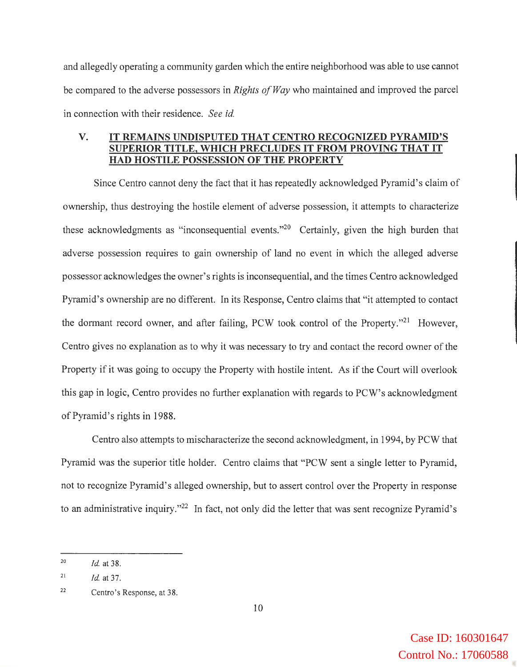and allegedly operating a community garden which the entire neighborhood was able to use cannot be compared to the adverse possessors in *Rights of Way* who maintained and improved the parcel in connection with their residence. *See id.* 

#### **V. IT REMAINS UNDISPUTED THAT CENTRO RECOGNIZED PYRAMID'S SUPERIOR TITLE, WHICH PRECLUDES IT FROM PROVING THAT IT HAD HOSTILE POSSESSION OF THE PROPERTY**

Since Centro cannot deny the fact that it has repeatedly acknowledged Pyramid's claim of ownership, thus destroying the hostile element of adverse possession, it attempts to characterize these acknowledgments as "inconsequential events."<sup>20</sup> Certainly, given the high burden that adverse possession requires to gain ownership of land no event in which the alleged adverse possessor acknowledges the owner's rights is inconsequential, and the times Centro acknowledged Pyramid's ownership are no different. In its Response, Centro claims that "it attempted to contact the dormant record owner, and after failing, PCW took control of the Property."21 However, Centro gives no explanation as to why it was necessary to try and contact the record owner of the Property if it was going to occupy the Property with hostile intent. As if the Court will overlook this gap in logic, Centro provides no further explanation with regards to PCW's acknowledgment of Pyramid's rights in 1988.

Centro also attempts to mischaracterize the second acknowledgment, in 1994, by PCW that Pyramid was the superior title holder. Centro claims that "PCW sent a single letter to Pyramid, not to recognize Pyramid's alleged ownership, but to assert control over the Property in response to an administrative inquiry."22 In fact, not only did the letter that was sent recognize Pyramid's

<sup>20</sup>  *Id.* at 38.

<sup>21</sup>  *id.* at 37.

<sup>22</sup>  Centro's Response, at 38.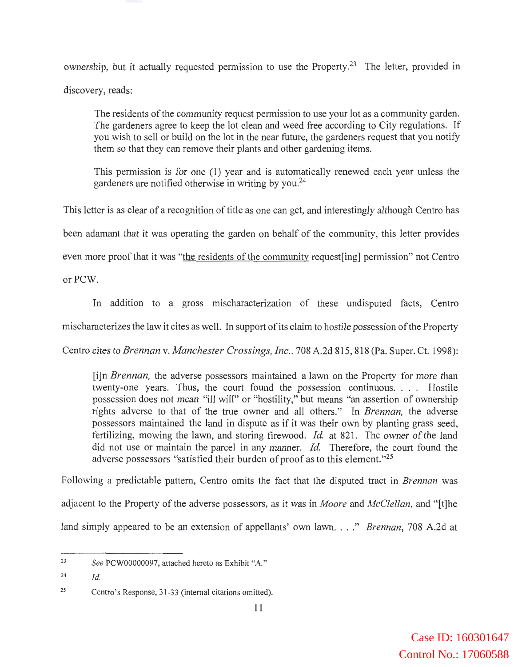ownership, but it actually requested permission to use the Property.<sup>23</sup> The letter, provided in discovery, reads:

The residents of the community request permission to use your lot as a community garden. The gardeners agree to keep the lot clean and weed free according to City regulations. If you wish to sell or build on the lot in the near future, the gardeners request that you notify them so that they can remove their plants and other gardening items.

This permission is for one (1) year and is automatically renewed each year unless the gardeners are notified otherwise in writing by you.<sup>24</sup>

This letter is as clear of a recognition of title as one can get, and interestingly although Centro has

been adamant that it was operating the garden on behalf of the community, this letter provides

even more proof that it was "the residents of the community request[ing] permission" not Centro

or PCW.

In addition to a gross mischaracterization of these undisputed facts, Centro mischaracterizes the law it cites as well. In support of its claim to hostile possession of the Property

Centro cites to *Brennan* v. *Manchester Crossings, Inc.,* 708 A.2d 815, 818 (Pa. Super. Ct. 1998):

[i]n *Brennan,* the adverse possessors maintained a lawn on the Property for more than twenty-one years. Thus, the court found the possession continuous. . . . Hostile possession does not mean "ill will" or "hostility," but means "an assertion of ownership rights adverse to that of the true owner and all others." In *Brennan,* the adverse possessors maintained the land in dispute as if it was their own by planting grass seed, fertilizing, mowing the lawn, and storing firewood. *Id.* at 821. The owner of the land did not use or maintain the parcel in any manner. *Id.* Therefore, the court found the adverse possessors "satisfied their burden of proof as to this element. "25

Following a predictable pattern, Centro omits the fact that the disputed tract in *Brennan* was adjacent to the Property of the adverse possessors, as it was in *Moore* and *McClellan,* and "[t]he land simply appeared to be an extension of appellants' own lawn. ..." *Brennan*, 708 A.2d at

<sup>23</sup>  *See* PCW00000097, attached hereto as Exhibit "A."

<sup>24</sup>  *Id.* 

<sup>25</sup>  Centro's Response, 31-33 (internal citations omitted).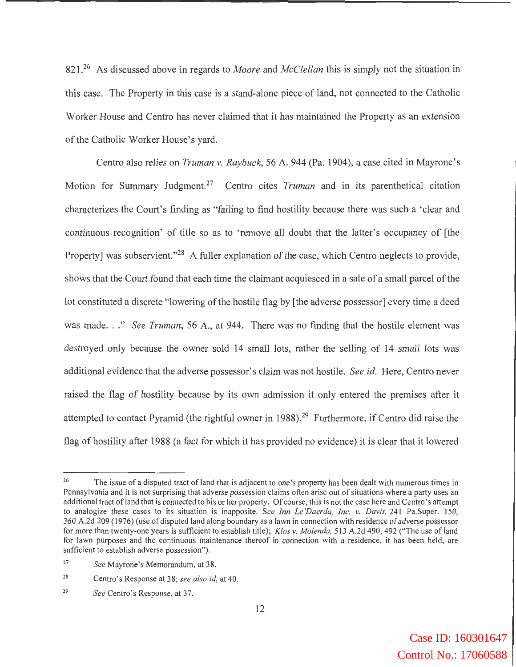821.26 As discussed above in regards to *Moore* and *McClellan* this is simply not the situation in this case. The Property in this case is a stand-alone piece of land, not connected to the Catholic Worker House and Centro has never claimed that it has maintained the Property as an extension of the Catholic Worker House's yard.

Centro also relies on *Truman* v. *Raybuck,* 56 A. 944 (Pa. 1904), a case cited in Mayrone's Motion for Summary Judgment.27 Centro cites *Truman* and in its parenthetical citation characterizes the Court's finding as "failing to find hostility because there was such a ' clear and continuous recognition' of title so as to 'remove all doubt that the latter's occupancy of [the Property] was subservient."<sup>28</sup> A fuller explanation of the case, which Centro neglects to provide, shows that the Court found that each time the claimant acquiesced in a sale of a small parcel of the lot constituted a discrete "lowering of the hostile flag by [the adverse possessor] every time a deed was made. . ." *See Truman*, 56 A., at 944. There was no finding that the hostile element was destroyed only because the owner sold 14 small lots, rather the selling of 14 small lots was additional evidence that the adverse possessor's claim was not hostile. *See id.* Here, Centro never raised the flag of hostility because by its own admission it only entered the premises after it attempted to contact Pyramid (the rightful owner in 1988). 29 Furthermore, if Centro did raise the flag of hostility after 1988 (a fact for which it has provided no evidence) it is clear that it lowered

<sup>&</sup>lt;sup>26</sup> The issue of a disputed tract of land that is adjacent to one's property has been dealt with numerous times in Pennsylvania and it is not surprising that adverse possession claims often arise out of situations where a party uses an additional tract of land that is connected to his or her property. Of course, this is not the case here and Centro's attempt to analogize these cases to its situation is inapposite. *See Inn Le 'Daerda, Inc. v. Davis,* 241 Pa.Super. 150, 360 A.2d 209 (1976) (use of disputed land along boundary as a lawn in connection with residence of adverse possessor for more than twenty-one years is sufficient to establish title); *Klos v. Molenda,* 513 A.2d 490, 492 ("The use of land for lawn purposes and the continuous maintenance thereof in connection with a residence, it has been held, are sufficient to establish adverse possession").

<sup>27</sup>  *See* Mayrone's Memorandum, at 38.

<sup>28</sup>  Centro's Response at 38; *see also id,* at 40.

<sup>29</sup>  *See* Centro's Response, at 37.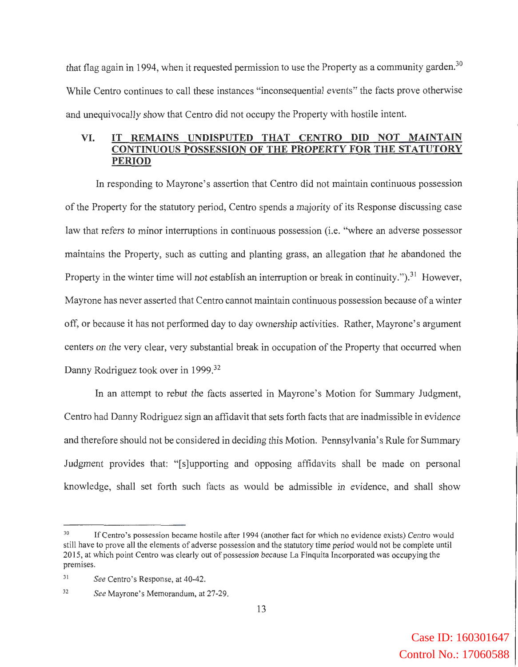that flag again in 1994, when it requested permission to use the Property as a community garden.<sup>30</sup> While Centro continues to call these instances "inconsequential events" the facts prove otherwise and unequivocally show that Centro did not occupy the Property with hostile intent.

#### **VI. IT REMAINS UNDISPUTED THAT CENTRO DID NOT MAINTAIN CONTINUOUS POSSESSION OF THE PROPERTY FOR THE STATUTORY PERIOD**

In responding to Mayrone's assertion that Centro did not maintain continuous possession of the Property for the statutory period, Centro spends a majority of its Response discussing case law that refers to minor interruptions in continuous possession (i.e. "where an adverse possessor maintains the Property, such as cutting and planting grass, an allegation that he abandoned the Property in the winter time will not establish an interruption or break in continuity.").<sup>31</sup> However, Mayrone has never asserted that Centro cannot maintain continuous possession because of a winter off, or because it has not performed day to day ownership activities. Rather, Mayrone's argument centers on the very clear, very substantial break in occupation of the Property that occurred when Danny Rodriguez took over in 1999.<sup>32</sup>

In an attempt to rebut the facts asserted in Mayrone's Motion for Summary Judgment, Centro had Danny Rodriguez sign an affidavit that sets forth facts that are inadmissible in evidence and therefore should not be considered in deciding this Motion. Pennsylvania's Rule for Summary Judgment provides that: "[s]upporting and opposing affidavits shall be made on personal knowledge, shall set forth such facts as would be admissible in evidence, and shall show

<sup>&</sup>lt;sup>30</sup> If Centro's possession became hostile after 1994 (another fact for which no evidence exists) Centro would still have to prove all the elements of adverse possession and the statutory time period would not be complete until 2015, at which point Centro was clearly out of possession because La Finquita Incorporated was occupying the premises.

<sup>3</sup> <sup>1</sup>*See* Centro's Response, at 40-42.

<sup>32</sup>*See* Mayrone's Memorandum, at 27-29.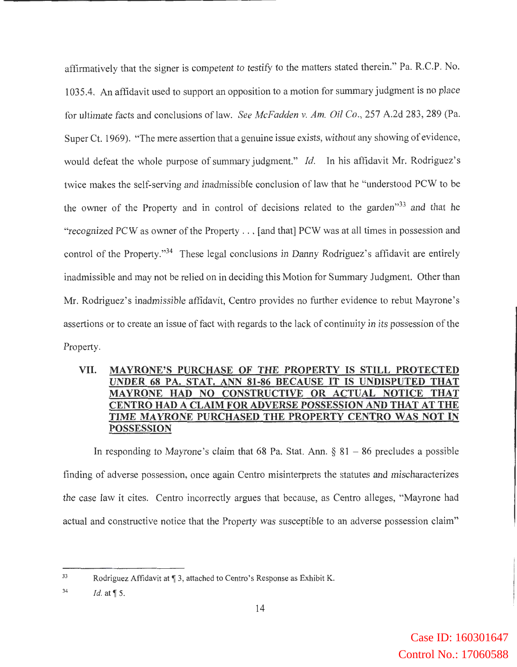affirmatively that the signer is competent to testify to the matters stated therein." Pa. R.C.P. No. 1035.4. An affidavit used to support an opposition to a motion for summary judgment is no place for ultimate facts and conclusions of law. *See McFadden v. Am. Oil Co.,* 257 A.2d 283, 289 (Pa. Super Ct. 1969). "The mere assertion that a genuine issue exists, without any showing of evidence, would defeat the whole purpose of summary judgment." *Id.* In his affidavit Mr. Rodriguez's twice makes the self-serving and inadmissible conclusion of law that he "understood PCW to be the owner of the Property and in control of decisions related to the garden<sup>"33</sup> and that he "recognized PCW as owner of the Property ... [and that] PCW was at all times in possession and control of the Property."<sup>34</sup> These legal conclusions in Danny Rodriguez's affidavit are entirely inadmissible and may not be relied on in deciding this Motion for Summary Judgment. Other than Mr. Rodriguez's inadmissible affidavit, Centro provides no further evidence to rebut Mayrone's assertions or to create an issue of fact with regards to the lack of continuity in its possession of the Property.

## **VII. MAYRONE'S PURCHASE OF THE PROPERTY IS STILL PROTECTED UNDER 68 PA. STAT. ANN 81-86 BECAUSE IT IS UNDISPUTED THAT MAYRONE HAD NO CONSTRUCTIVE OR ACTUAL NOTICE THAT CENTRO HAD A CLAIM FOR ADVERSE POSSESSION AND THAT AT THE TIME MA YR ONE PURCHASED THE PROPERTY CENTRO WAS NOT IN POSSESSION**

In responding to Mayrone's claim that 68 Pa. Stat. Ann.  $\S 81 - 86$  precludes a possible finding of adverse possession, once again Centro misinterprets the statutes and mischaracterizes the case law it cites. Centro incorrectly argues that because, as Centro alleges, "Mayrone had actual and constructive notice that the Property was susceptible to an adverse possession claim"

<sup>33</sup>  Rodriguez Affidavit at ¶ 3, attached to Centro's Response as Exhibit K.

<sup>34</sup>  *Id.* at  $\P$  5.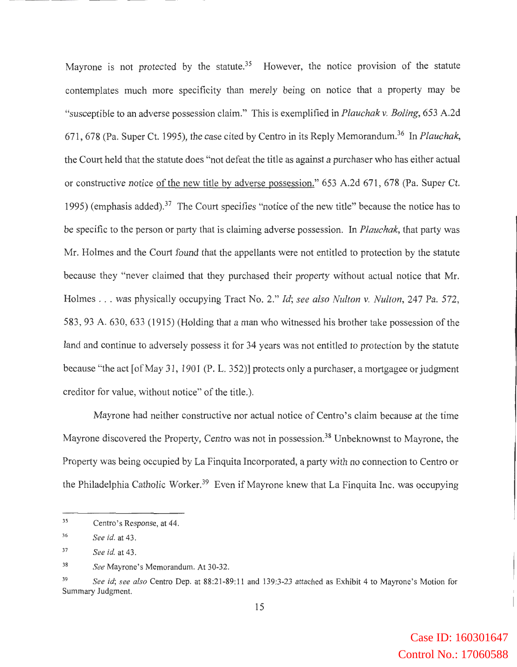Mayrone is not protected by the statute.<sup>35</sup> However, the notice provision of the statute contemplates much more specificity than merely being on notice that a property may be "susceptible to an adverse possession claim." This is exemplified in *Plauchak v. Boling,* 653 A.2d 671, 678 (Pa. Super Ct. 1995), the case cited by Centro in its Reply Memorandum.36 In *Plauchak,*  the Court held that the statute does "not defeat the title as against a purchaser who has either actual or constructive notice of the new title by adverse possession." 653 A.2d 671, 678 (Pa. Super Ct. 1995) (emphasis added).<sup>37</sup> The Court specifies "notice of the new title" because the notice has to be specific to the person or party that is claiming adverse possession. In *Plauchak,* that party was Mr. Holmes and the Court found that the appellants were not entitled to protection by the statute because they "never claimed that they purchased their property without actual notice that Mr. Holmes ... was physically occupying Tract No. 2." *Id; see also Nulton v. Nulton,* 247 Pa. 572, 583, 93 A. 630, 633 (1915) (Holding that a man who witnessed his brother take possession of the land and continue to adversely possess it for 34 years was not entitled to protection by the statute because "the act [of May 31 , 1901 (P. L. 352)] protects only a purchaser, a mortgagee or judgment creditor for value, without notice" of the title.).

Mayrone had neither constructive nor actual notice of Centro's claim because at the time Mayrone discovered the Property, Centro was not in possession.<sup>38</sup> Unbeknownst to Mayrone, the Property was being occupied by La Finquita Incorporated, a party with no connection to Centro or the Philadelphia Catholic Worker.<sup>39</sup> Even if Mayrone knew that La Finquita Inc. was occupying

<sup>35</sup>  Centro's Response, at 44.

<sup>36</sup>  *See id.* at 43 .

<sup>37</sup>  *See id.* at 43 .

<sup>38</sup>  *See* Mayrone's Memorandum. At 30-32.

<sup>39</sup>*See id; see also* Centro Dep. at 88:21-89:11 and 139:3-23 attached as Exhibit 4 to Mayrone's Motion for Summary Judgment.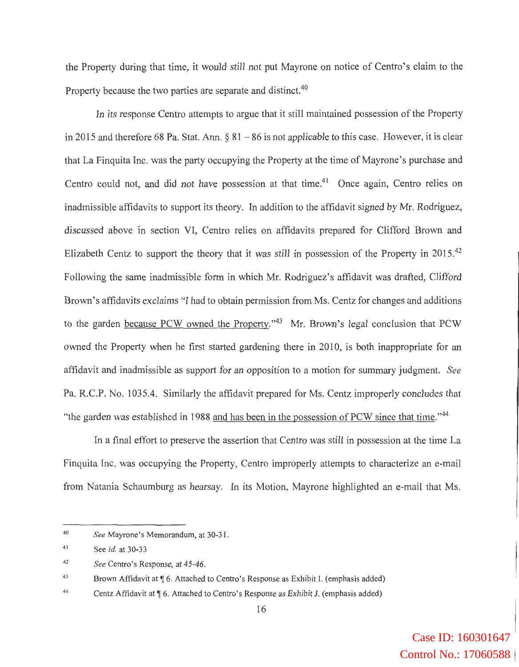the Property during that time, it would still not put Mayrone on notice of Centro's claim to the Property because the two parties are separate and distinct.<sup>40</sup>

In its response Centro attempts to argue that it still maintained possession of the Property in 2015 and therefore 68 Pa. Stat. Ann.  $\S 81 - 86$  is not applicable to this case. However, it is clear that La Finquita Inc. was the party occupying the Property at the time of Mayrone's purchase and Centro could not, and did not have possession at that time.<sup>41</sup> Once again, Centro relies on inadmissible affidavits to support its theory. In addition to the affidavit signed by Mr. Rodriguez, discussed above in section VI, Centro relies on affidavits prepared for Clifford Brown and Elizabeth Centz to support the theory that it was still in possession of the Property in 2015.<sup>42</sup> Following the same inadmissible form in which Mr. Rodriguez's affidavit was drafted, Clifford Brown's affidavits exclaims "I had to obtain permission from Ms. Centz for changes and additions to the garden because PCW owned the Property."43 Mr. Brown's legal conclusion that PCW owned the Property when he first started gardening there in 2010, is both inappropriate for an affidavit and inadmissible as support for an opposition to a motion for summary judgment. *See*  Pa. R.C.P. No. 1035.4. Similarly the affidavit prepared for Ms. Centz improperly concludes that "the garden was established in 1988 and has been in the possession of PCW since that time."<sup>44</sup>

In a final effort to preserve the assertion that Centro was still in possession at the time La Finquita Inc. was occupying the Property, Centro improperly attempts to characterize an e-mail from Natania Schaumburg as hearsay. In its Motion, Mayrone highlighted an e-mail that Ms.

<sup>40</sup>  *See* Mayrone's Memorandum, at 30-31.

<sup>41</sup>  See *id.* at 30-33

<sup>42</sup>  *See* Centro's Response, at 45-46.

<sup>43</sup>  Brown Affidavit at ¶ 6. Attached to Centro's Response as Exhibit I. (emphasis added)

<sup>44</sup>  Centz Affidavit at  $\llbracket 6$ . Attached to Centro's Response as Exhibit J. (emphasis added)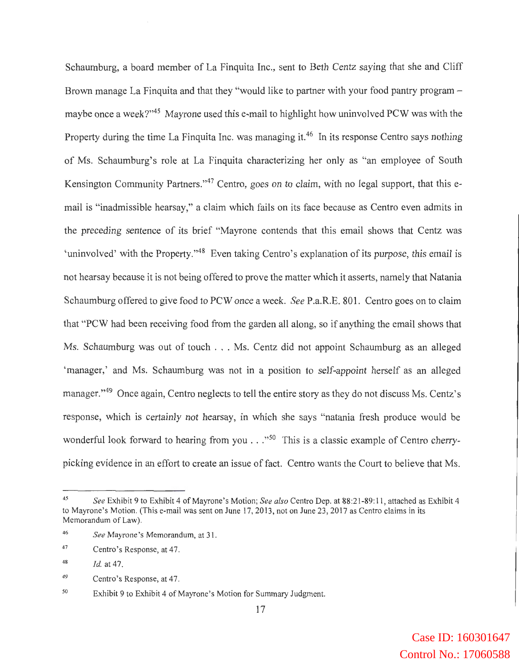Schaumburg, a board member of La Finquita Inc., sent to Beth Centz saying that she and Cliff Brown manage La Finquita and that they "would like to partner with your food pantry program – maybe once a week?"45 Mayrone used this e-mail to highlight how uninvolved PCW was with the Property during the time La Finquita Inc. was managing it.<sup>46</sup> In its response Centro says nothing of Ms. Schaumburg's role at La Finquita characterizing her only as "an employee of South Kensington Community Partners."<sup>47</sup> Centro, goes on to claim, with no legal support, that this email is "inadmissible hearsay,'' a claim which fails on its face because as Centro even admits in the preceding sentence of its brief "Mayrone contends that this email shows that Centz was 'uninvolved' with the Property."48 Even taking Centro's explanation of its purpose, this email is not hearsay because it is not being offered to prove the matter which it asserts, namely that Natania Schaumburg offered to give food to PCW once a week. *See* P.a.R.E. 801. Centro goes on to claim that "PCW had been receiving food from the garden all along, so if anything the email shows that Ms. Schaumburg was out of touch . .. Ms. Centz did not appoint Schaumburg as an alleged 'manager,' and Ms. Schaumburg was not in a position to self-appoint herself as an alleged manager."49 Once again, Centro neglects to tell the entire story as they do not discuss Ms. Centz's response, which is certainly not hearsay, in which she says "natania fresh produce would be wonderful look forward to hearing from you  $\ldots$  "<sup>50</sup> This is a classic example of Centro cherrypicking evidence in an effort to create an issue of fact. Centro wants the Court to believe that Ms.

<sup>45</sup>*See* Exhibit *9* to Exhibit 4 of Mayrone's Motion; *See also* Centro Dep. at 88:21-89: 11 , attached as Exhibit 4 to Mayrone 's Motion. (This e-mail was sent on June 17, 2013, not on June 23, 2017 as Centro claims in its Memorandum of Law).

<sup>46</sup>  *See* Mayrone's Memorandum, at 31.

<sup>47</sup>  Centro's Response, at 47.

<sup>48</sup>  *Id.* at 47.

<sup>49</sup>  Centro's Response, at 47.

*<sup>50</sup>*  Exhibit 9 to Exhibit 4 of Mayrone's Motion for Summary Judgment.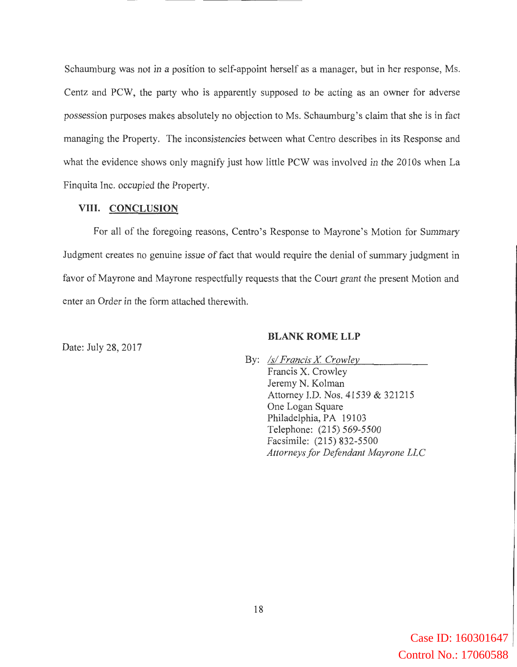Schaumburg was not in a position to self-appoint herself as a manager, but in her response, Ms. Centz and PCW, the party who is apparently supposed to be acting as an owner for adverse possession purposes makes absolutely no objection to Ms. Schaumburg's claim that she is in fact managing the Property. The inconsistencies between what Centro describes in its Response and what the evidence shows only magnify just how little PCW was involved in the 2010s when La Finquita Inc. occupied the Property.

#### **VIII. CONCLUSION**

For all of the foregoing reasons, Centro's Response to Mayrone's Motion for Summary Judgment creates no genuine issue of fact that would require the denial of summary judgment in favor of Mayrone and Mayrone respectfully requests that the Court grant the present Motion and enter an Order in the form attached therewith.

#### **BLANK ROME LLP**

Date: July 28, 2017

By: *Isl Francis X Crowley*  Francis X. Crowley Jeremy N. Kolman Attorney I.D. Nos. 41539 & 321215 One Logan Square Philadelphia, PA 19103 Telephone: (215) 569-5500 Facsimile: (215) 832-5500 *Attorneys for Defendant Mayrone LLC*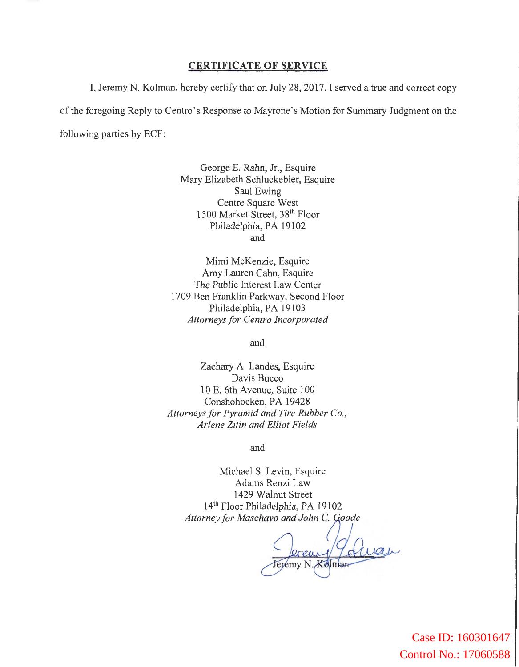#### **CERTIFICATE OF SERVICE**

I, Jeremy N. Kolman, hereby certify that on July 28, 2017, I served a true and correct copy of the foregoing Reply to Centro's Response to Mayrone's Motion for Summary Judgment on the following parties by ECF:

> George E. Rahn, Jr., Esquire Mary Elizabeth Schluckebier, Esquire Saul Ewing Centre Square West 1500 Market Street, 38th Floor Philadelphia, PA 19102 and

Mimi McKenzie, Esquire Amy Lauren Cahn, Esquire The Public Interest Law Center 1709 Ben Franklin Parkway, Second Floor Philadelphia, PA 19103 *Attorneys for Centro Incorporated* 

and

Zachary A. Landes, Esquire Davis Bucco 10 E. 6th Avenue, Suite 100 Conshohocken, PA 19428 *Attorneys for Pyramid and Tire Rubber Co., Arlene Zitin and Elliot Fields* 

and

Michael S. Levin, Esquire Adams Renzi Law 1429 Walnut Street 14th Floor Philadelphia, PA 19102 *Attorney for Maschavo and John* C. *oode*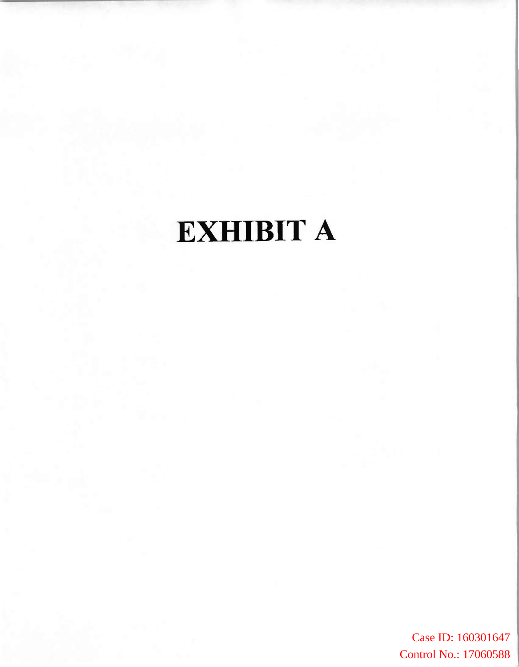# EXHIBIT A